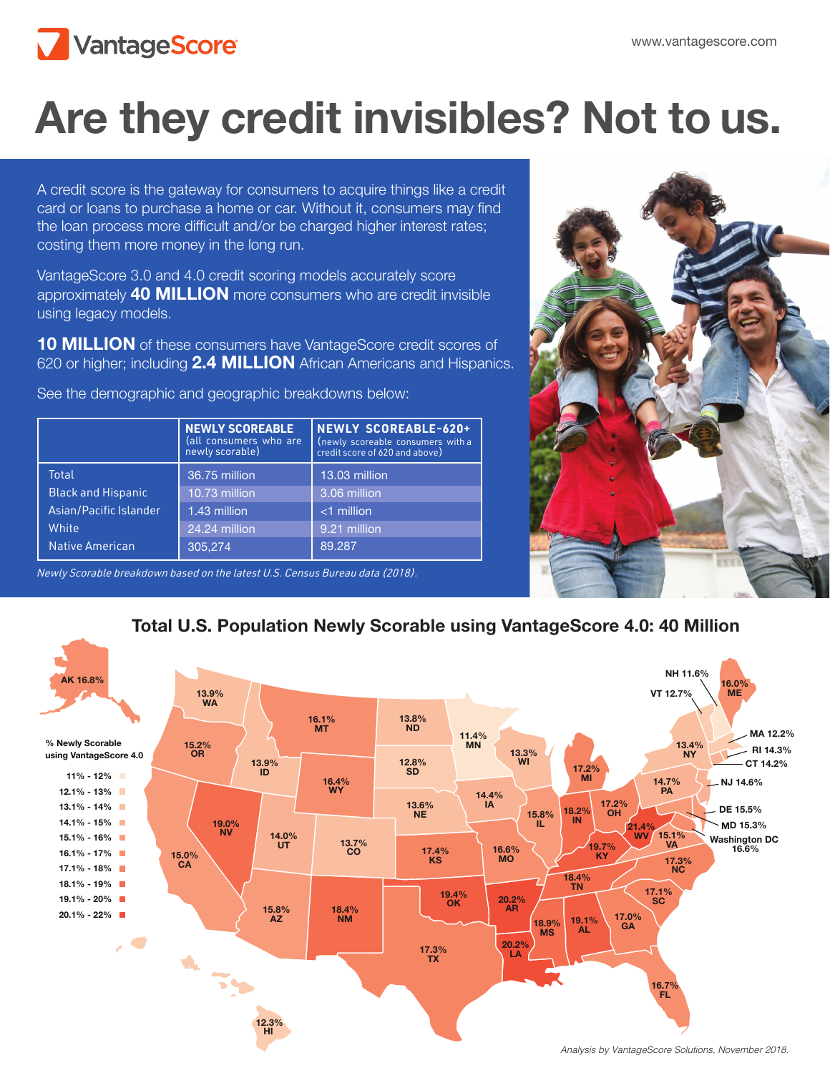

# Are they credit invisibles? Not to us.

A credit score is the gateway for consumers to acquire things like a credit card or loans to purchase a home or car. Without it, consumers may find the loan process more difficult and/or be charged higher interest rates; costing them more money in the long run.

VantageScore 3.0 and 4.0 credit scoring models accurately score approximately 40 MILLION more consumers who are credit invisible using legacy models.

10 MILLION of these consumers have VantageScore credit scores of 620 or higher; including 2.4 MILLION African Americans and Hispanics.

See the demographic and geographic breakdowns below:

|                                    | <b>NEWLY SCOREABLE</b><br>(all consumers who are<br>newly scorable) | NEWLY SCOREABLE-620+<br>(newly scoreable consumers with a<br>credit score of 620 and above) |
|------------------------------------|---------------------------------------------------------------------|---------------------------------------------------------------------------------------------|
| Total<br><b>Black and Hispanic</b> | 36.75 million<br>10.73 million                                      | 13.03 million<br>3.06 million                                                               |
| Asian/Pacific Islander             | 1.43 million                                                        | $<$ 1 million                                                                               |
| White                              | 24.24 million                                                       | 9.21 million                                                                                |
| <b>Native American</b>             | 305.274                                                             | 89.287                                                                                      |

12.3% HI

Newly Scorable breakdown based on the latest U.S. Census Bureau data (2018).



Total U.S. Population Newly Scorable using VantageScore 4.0: 40 Million

*Analysis by VantageScore Solutions, November 2018.*